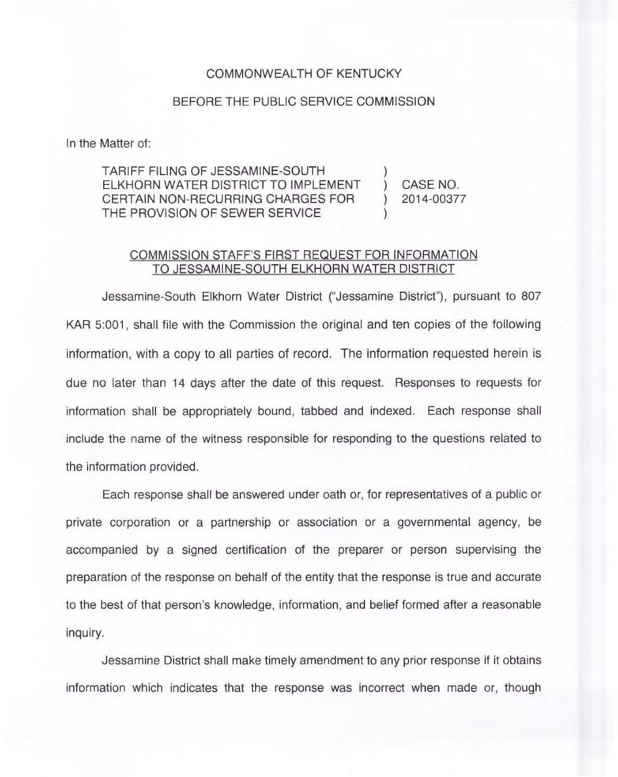## COMMONWEALTH OF KENTUCKY

## BEFORE THE PUBLIC SERVICE COMMISSION

In the Matter of:

TARIFF FILING OF JESSAMINE-SOUTH ) ELKHORN WATER DISTRICT TO IMPLEMENT ) CASE NO.<br>CERTAIN NON-RECURRING CHARGES FOR ) 2014-00377 CERTAIN NON-RECURRING CHARGES FOR THE PROVISION OF SEWER SERVICE

## COMMISSION STAFF'S FIRST REQUEST FOR INFORMATION TO JESSAMINE-SOUTH ELKHORN WATER DISTRICT

Jessamine-South Elkhorn Water District ("Jessamine District" ), pursuant to 807 KAR 5:001, shall file with the Commission the original and ten copies of the following information, with a copy to all parties of record. The information requested herein is due no later than 14 days after the date of this request. Responses to requests for information shall be appropriately bound, tabbed and indexed. Each response shall include the name of the witness responsible for responding to the questions related to the information provided.

Each response shall be answered under oath or, for representatives of a public or private corporation or a partnership or association or a governmental agency, be accompanied by a signed certification of the preparer or person supervising the preparation of the response on behalf of the entity that the response is true and accurate to the best of that person's knowledge, information, and belief formed after a reasonable inquiry.

Jessamine District shall make timely amendment to any prior response if it obtains information which indicates that the response was incorrect when made or, though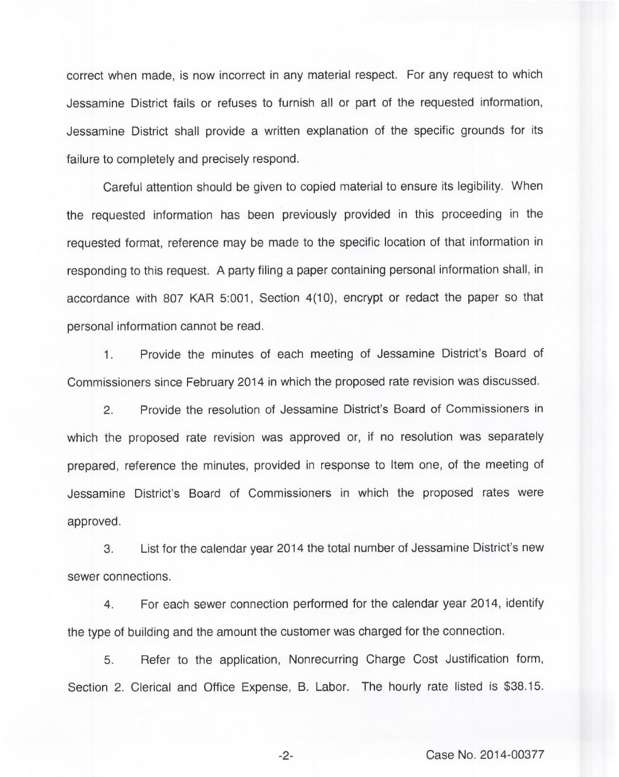correct when made, is now incorrect in any material respect. For any request to which Jessamine District fails or refuses to furnish all or part of the requested information, Jessamine District shall provide a written explanation of the specific grounds for its failure to completely and precisely respond.

Careful attention should be given to copied material to ensure its legibility. When the requested information has been previously provided in this proceeding in the requested format, reference may be made to the specific location of that information in responding to this request. A party filing a paper containing personal information shall, in accordance with 807 KAR 5:001, Section 4(10), encrypt or redact the paper so that personal information cannot be read.

Provide the minutes of each meeting of Jessamine District's Board of  $1.$ Commissioners since February 2014 in which the proposed rate revision was discussed.

2. Provide the resolution of Jessamine District's Board of Commissioners in which the proposed rate revision was approved or, if no resolution was separately prepared, reference the minutes, provided in response to Item one, of the meeting of Jessamine District's Board of Commissioners in which the proposed rates were approved.

3. List for the calendar year 2014 the total number of Jessamine District's new sewer connections.

4. For each sewer connection performed for the calendar year 2014, identify the type of building and the amount the customer was charged for the connection.

5. Refer to the application, Nonrecurring Charge Cost Justification form, Section 2. Clerical and Office Expense, B. Labor. The hourly rate listed is \$38.15.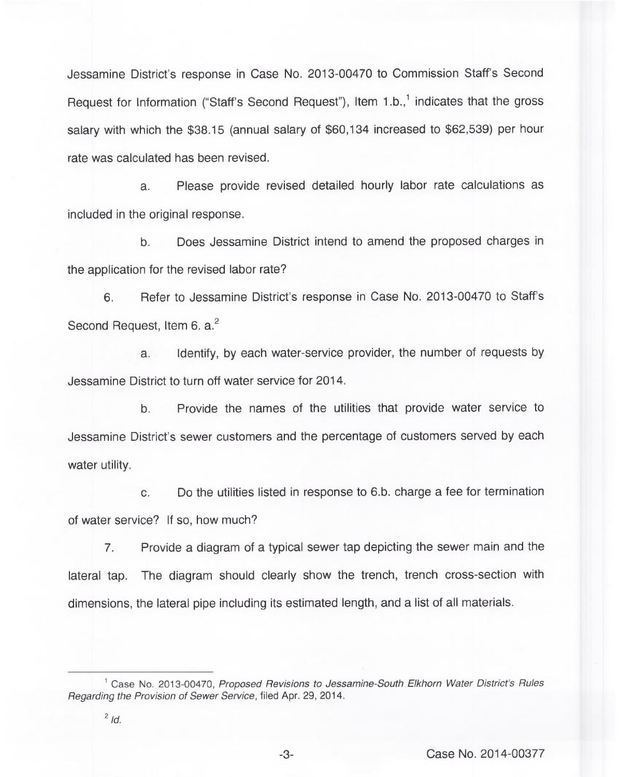Jessamine District's response in Case No. 2013-00470 to Commission Staff's Second Request for Information ("Staff's Second Request"), Item  $1.b.,<sup>1</sup>$  indicates that the gross salary with which the \$38.15 (annual salary of \$60,134 increased to \$62,539) per hour rate was calculated has been revised.

a. Please provide revised detailed hourly labor rate calculations as included in the original response.

b. Does Jessamine District intend to amend the proposed charges in the application for the revised labor rate?

6. Refer to Jessamine District's response in Case No. 2013-00470 to Staff's Second Request, Item 6. a.<sup>2</sup>

Identify, by each water-service provider, the number of requests by  $a<sub>1</sub>$ Jessamine District to turn off water service for 2014.

b. Provide the names of the utilities that provide water service to Jessamine District's sewer customers and the percentage of customers served by each water utility.

c. Do the utilities listed in response to 6.b. charge a fee for termination of water service? If so, how much?

7. Provide a diagram of a typical sewer tap depicting the sewer main and the lateral tap. The diagram should clearly show the trench, trench cross-section with dimensions, the lateral pipe including its estimated length, and a list of all materials.

<sup>&</sup>lt;sup>1</sup> Case No. 2013-00470, Proposed Revisions to Jessamine-South Elkhorn Water District's Rules Regarding the Provision of Sewer Service, filed Apr. 29, 2014.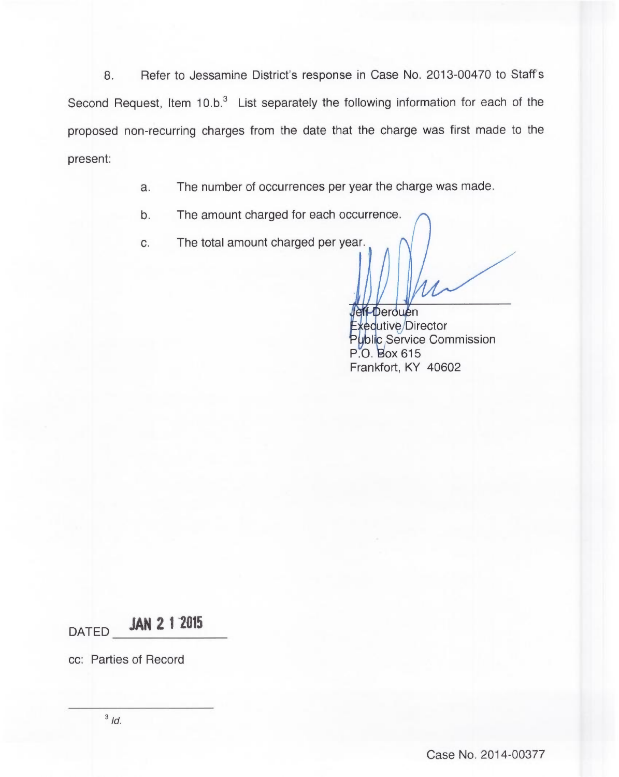8. Refer to Jessamine District's response in Case No. 2013-00470 to Staff's Second Request, Item  $10.b.^3$  List separately the following information for each of the proposed non-recurring charges from the date that the charge was first made to the present:

- a. The number of occurrences per year the charge was made.
- b. The amount charged for each occurrence.
- c. The total amount charged per year.

Jeff-Derouen Exequtive/Director l**i**c Service Commissic P.O. Box 615 Frankfort, KY 40602

DATED **JAN 2 1 2015** 

cc: Parties of Record